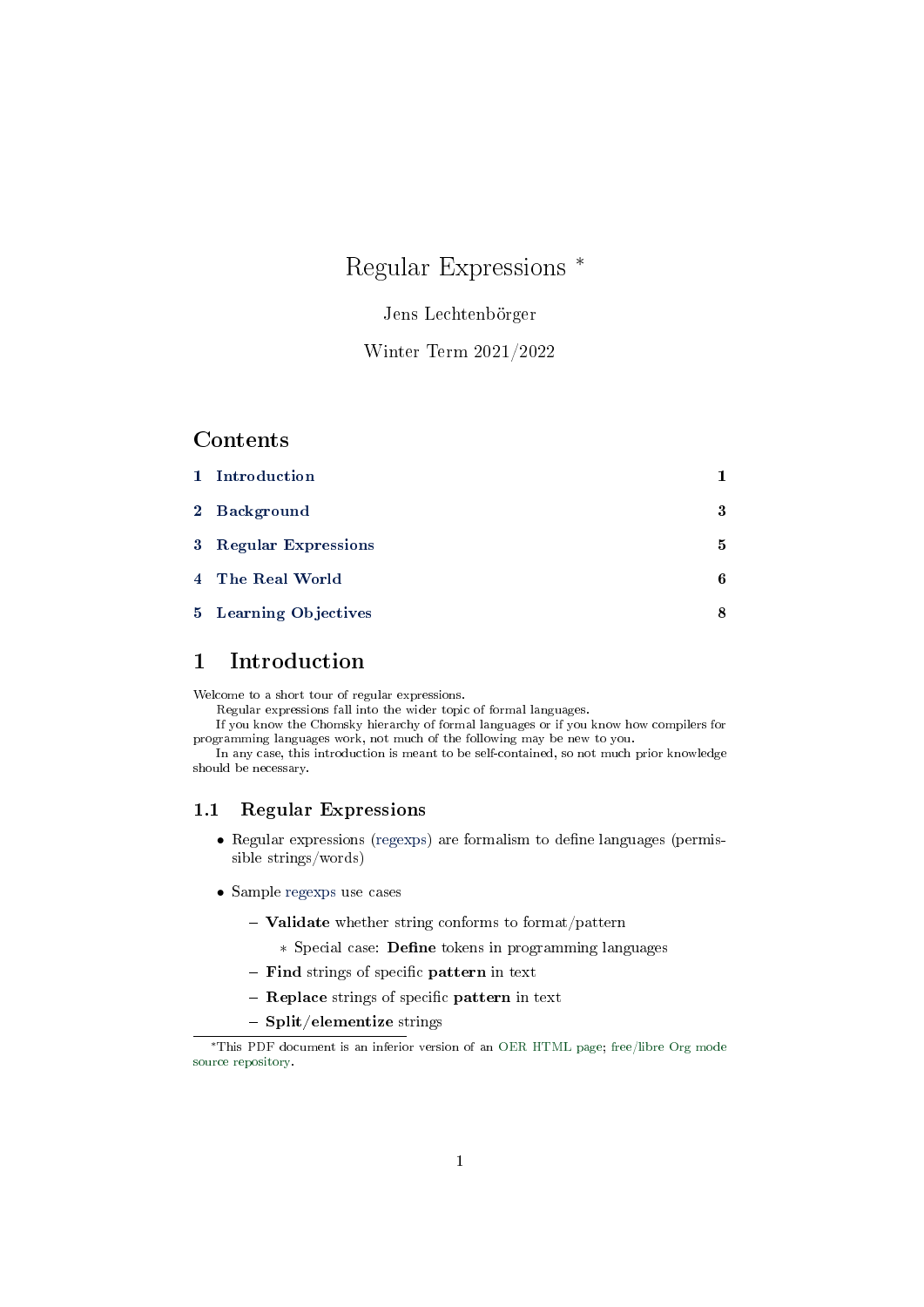# Regular Expressions <sup>∗</sup>

# Jens Lechtenbörger

# Winter Term 2021/2022

#### Contents

| 1 Introduction        |   |
|-----------------------|---|
| 2 Background          | 3 |
| 3 Regular Expressions | 5 |
| 4 The Real World      | 6 |
| 5 Learning Objectives | 8 |
|                       |   |

# <span id="page-0-0"></span>1 Introduction

Welcome to a short tour of regular expressions.

Regular expressions fall into the wider topic of formal languages.

If you know the Chomsky hierarchy of formal languages or if you know how compilers for programming languages work, not much of the following may be new to you.

In any case, this introduction is meant to be self-contained, so not much prior knowledge should be necessary.

# 1.1 Regular Expressions

- Regular expressions (regexps) are formalism to define languages (permissible strings/words)
- Sample regexps use cases
	- $-$  Validate whether string conforms to format/pattern
		- ∗ Special case: Dene tokens in programming languages
	- Find strings of specific pattern in text
	- $-$  Replace strings of specific pattern in text
	- $-$  Split/elementize strings

<sup>∗</sup>This PDF document is an inferior version of an [OER HTML page;](https://oer.gitlab.io/misc/Regular-Expressions.html) [free/libre Org mode](https://gitlab.com/oer/misc) [source repository.](https://gitlab.com/oer/misc)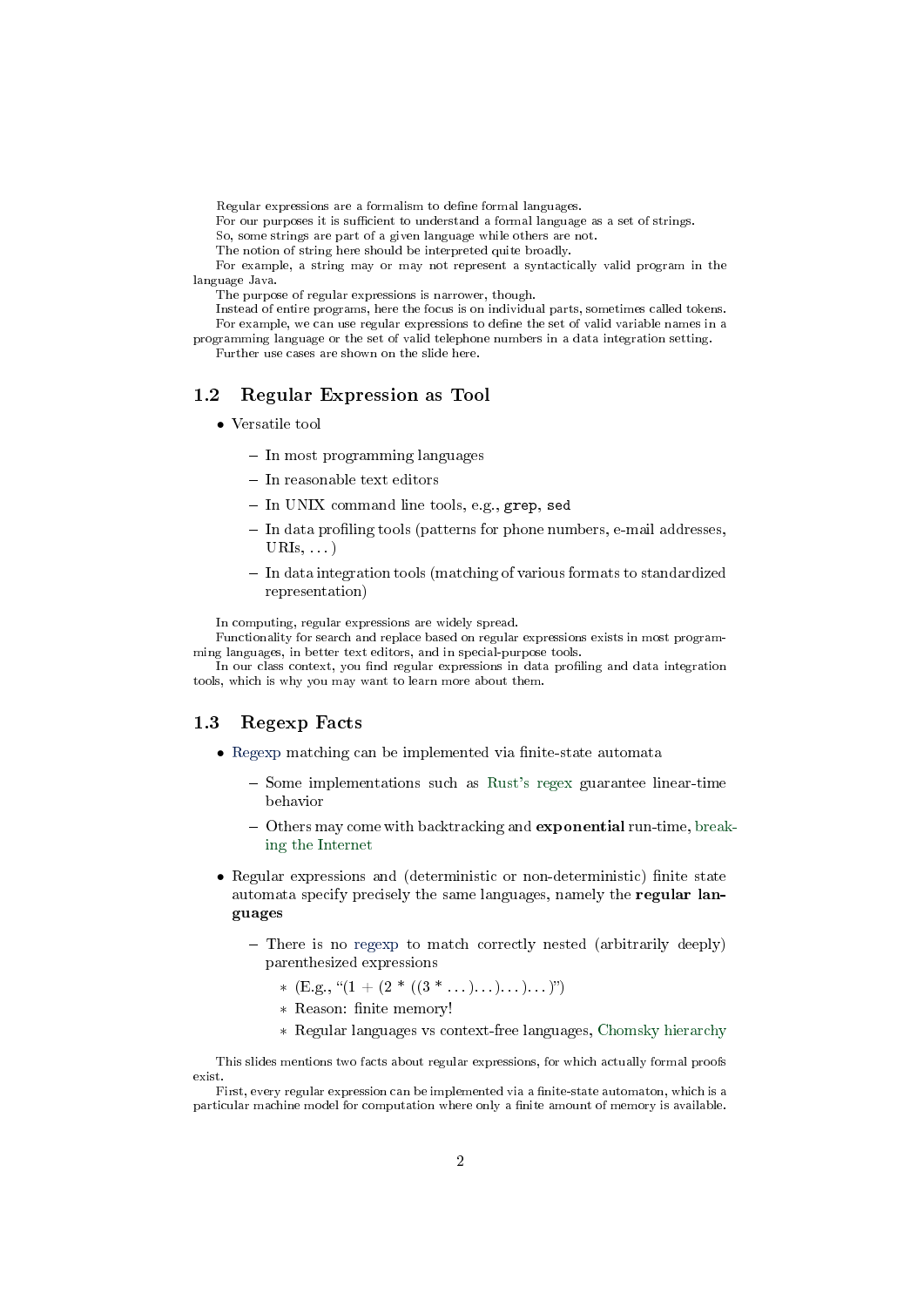Regular expressions are a formalism to dene formal languages.

For our purposes it is sufficient to understand a formal language as a set of strings.

So, some strings are part of a given language while others are not.

The notion of string here should be interpreted quite broadly.

For example, a string may or may not represent a syntactically valid program in the language Java.

The purpose of regular expressions is narrower, though.

Instead of entire programs, here the focus is on individual parts, sometimes called tokens. For example, we can use regular expressions to define the set of valid variable names in a programming language or the set of valid telephone numbers in a data integration setting.

Further use cases are shown on the slide here.

#### 1.2 Regular Expression as Tool

- Versatile tool
	- $-$  In most programming languages
	- $-$  In reasonable text editors
	- $-$  In UNIX command line tools, e.g., grep, sed
	- In data profiling tools (patterns for phone numbers, e-mail addresses,  $\text{URIs}, \ldots$
	- In data integration tools (matching of various formats to standardized representation)

In computing, regular expressions are widely spread.

Functionality for search and replace based on regular expressions exists in most programming languages, in better text editors, and in special-purpose tools.

In our class context, you find regular expressions in data profiling and data integration tools, which is why you may want to learn more about them.

#### 1.3 Regexp Facts

- Regexp matching can be implemented via finite-state automata
	- $-$  Some implementations such as [Rust's regex](https://docs.rs/regex/1.3.7/regex/) guarantee linear-time behavior
	- Others may come with backtracking and **exponential** run-time, [break](https://blog.cloudflare.com/details-of-the-cloudflare-outage-on-july-2-2019/)[ing the Internet](https://blog.cloudflare.com/details-of-the-cloudflare-outage-on-july-2-2019/)
- Regular expressions and (deterministic or non-deterministic) finite state automata specify precisely the same languages, namely the regular languages
	- There is no regexp to match correctly nested (arbitrarily deeply) parenthesized expressions
		- \*  $(E.g., " (1 + (2 * ((3 * ... )... )... )...)")$
		- ∗ Reason: nite memory!
		- ∗ Regular languages vs context-free languages, [Chomsky hierarchy](https://en.wikipedia.org/wiki/Chomsky_hierarchy)

This slides mentions two facts about regular expressions, for which actually formal proofs exist.

First, every regular expression can be implemented via a finite-state automaton, which is a particular machine model for computation where only a finite amount of memory is available.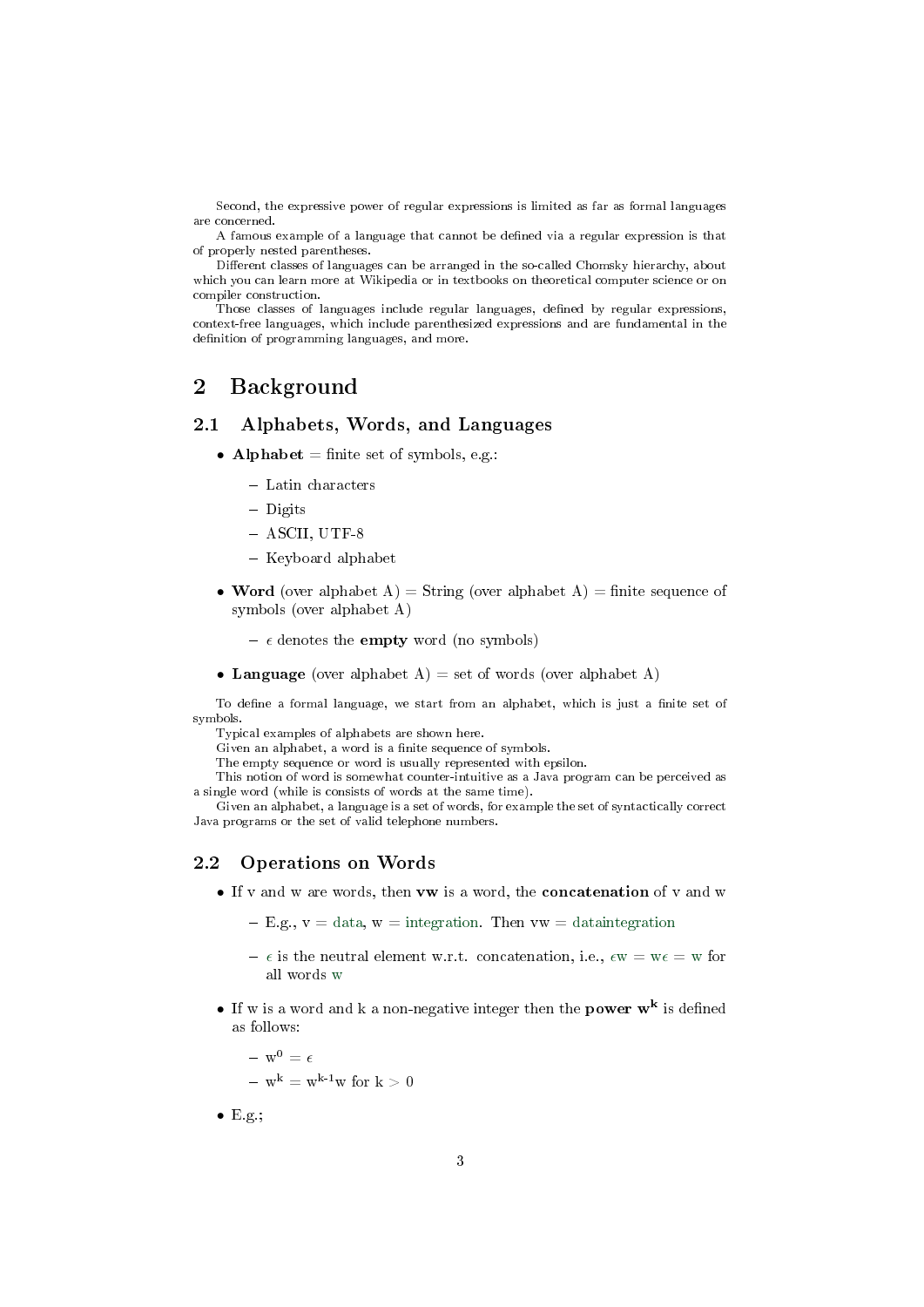Second, the expressive power of regular expressions is limited as far as formal languages are concerned.

A famous example of a language that cannot be dened via a regular expression is that of properly nested parentheses.

Different classes of languages can be arranged in the so-called Chomsky hierarchy, about which you can learn more at Wikipedia or in textbooks on theoretical computer science or on compiler construction.

Those classes of languages include regular languages, defined by regular expressions, context-free languages, which include parenthesized expressions and are fundamental in the definition of programming languages, and more.

# <span id="page-2-0"></span>2 Background

#### 2.1 Alphabets, Words, and Languages

- Alphabet  $=$  finite set of symbols, e.g.:
	- Latin characters
	- Digits
	- ASCII, UTF-8
	- $-$  Keyboard alphabet
- Word (over alphabet A) = String (over alphabet A) = finite sequence of symbols (over alphabet A)
	- $-\epsilon$  denotes the **empty** word (no symbols)
- Language (over alphabet A) = set of words (over alphabet A)

To define a formal language, we start from an alphabet, which is just a finite set of symbols.

Typical examples of alphabets are shown here.

Given an alphabet, a word is a finite sequence of symbols.

The empty sequence or word is usually represented with epsilon.

This notion of word is somewhat counter-intuitive as a Java program can be perceived as a single word (while is consists of words at the same time).

Given an alphabet, a language is a set of words, for example the set of syntactically correct Java programs or the set of valid telephone numbers.

#### 2.2 Operations on Words

• If v and w are words, then vw is a word, the concatenation of v and w

 $-E.g., v = data, w = integration.$  Then  $vw = data integration$ 

- $\epsilon$  is the neutral element w.r.t. concatenation, i.e.,  $\epsilon w = w \epsilon = w$  for all words w
- If w is a word and k a non-negative integer then the **power**  $w^k$  is defined as follows:

 $- w^0 = \epsilon$  $- w^{k} = w^{k-1}w$  for  $k > 0$ 

 $\bullet$  E.g.;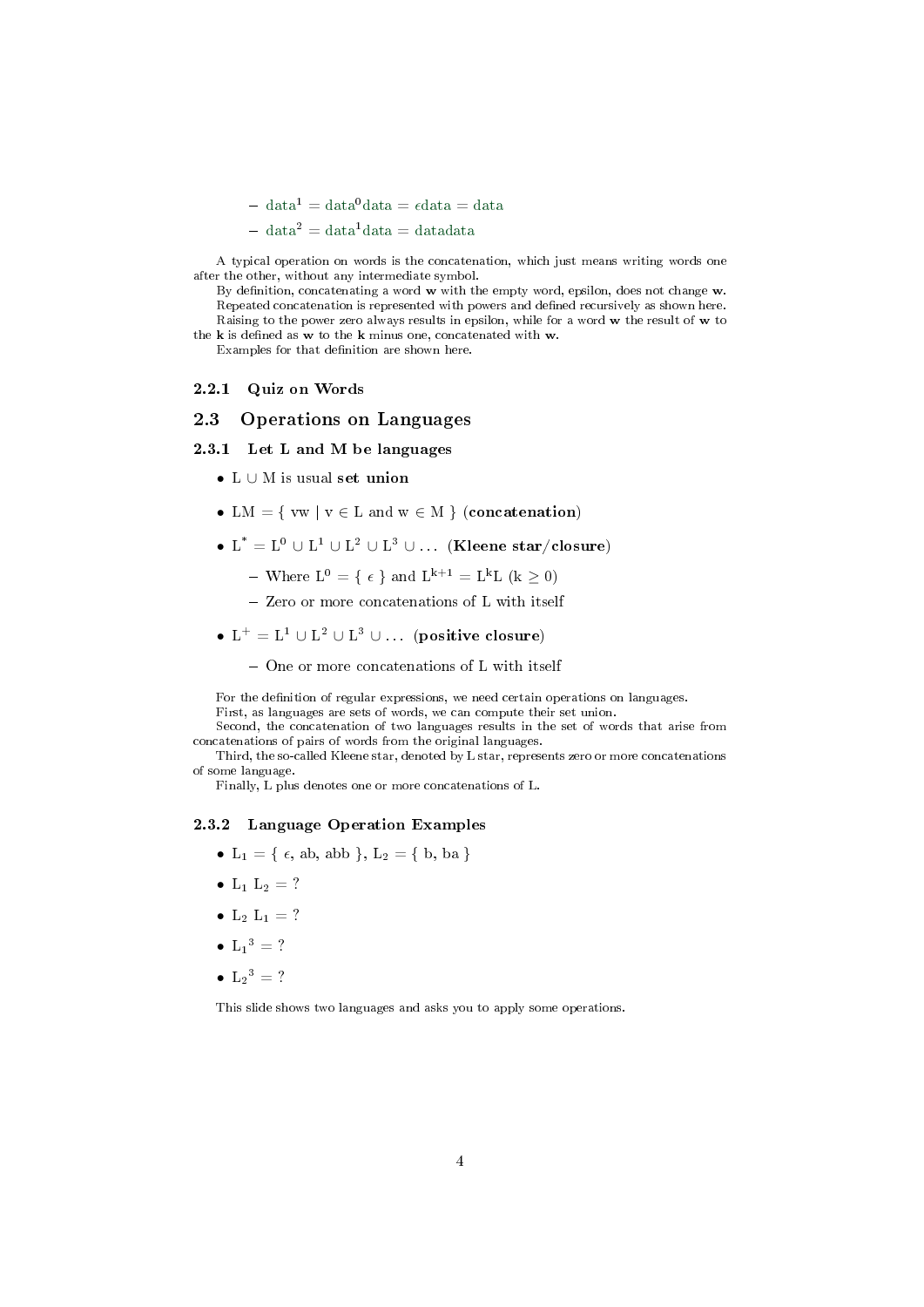$-\mathrm{data}^1 = \mathrm{data}^0 \mathrm{data} = \mathrm{data} = \mathrm{data}$ 

 $-\mathrm{data}^2 = \mathrm{data}^1 \mathrm{data} = \mathrm{data} \mathrm{data}$ 

A typical operation on words is the concatenation, which just means writing words one after the other, without any intermediate symbol.

By definition, concatenating a word w with the empty word, epsilon, does not change w. Repeated concatenation is represented with powers and defined recursively as shown here. Raising to the power zero always results in epsilon, while for a word w the result of w to

the  $k$  is defined as  $w$  to the  $k$  minus one, concatenated with  $w$ . Examples for that definition are shown here.

#### 2.2.1 Quiz on Words

#### 2.3 Operations on Languages

#### 2.3.1 Let L and M be languages

- L ∪ M is usual set union
- LM = {  $vw | v \in L$  and  $w \in M$  } (concatenation)
- $\bullet\,$  L  $^*=\mathrm{L}^0\,\cup\,\mathrm{L}^1\,\cup\,\mathrm{L}^2\,\cup\,\mathrm{L}^3\,\cup\ldots\,$  (Kleene star/closure)
	- Where  $L^0 = \{\epsilon\}$  and  $L^{k+1} = L^k L$   $(k > 0)$
	- Zero or more concatenations of L with itself
- $L^+ = L^1 \cup L^2 \cup L^3 \cup \ldots$  (positive closure)
	- One or more concatenations of L with itself

For the definition of regular expressions, we need certain operations on languages.

First, as languages are sets of words, we can compute their set union. Second, the concatenation of two languages results in the set of words that arise from

concatenations of pairs of words from the original languages.

Third, the so-called Kleene star, denoted by L star, represents zero or more concatenations of some language.

Finally, L plus denotes one or more concatenations of L.

#### 2.3.2 Language Operation Examples

- L<sub>1</sub> = {  $\epsilon$ , ab, abb }, L<sub>2</sub> = { b, ba }
- $L_1 L_2 = ?$
- $L_2 L_1 = ?$
- $L_1^3 = ?$
- $L_2^3 = ?$

This slide shows two languages and asks you to apply some operations.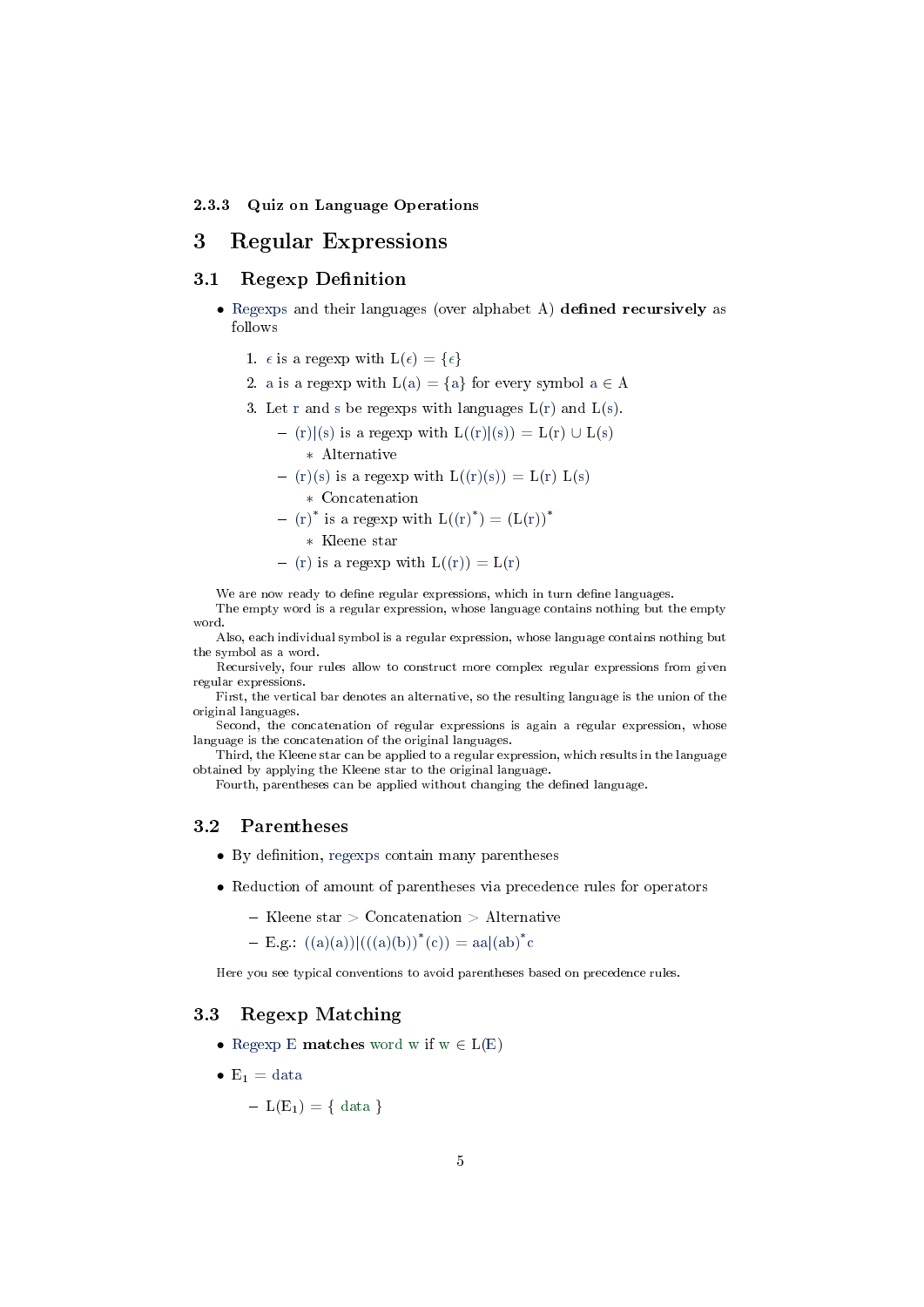#### 2.3.3 Quiz on Language Operations

# <span id="page-4-0"></span>3 Regular Expressions

### 3.1 Regexp Definition

- Regexps and their languages (over alphabet A) defined recursively as follows
	- 1.  $\epsilon$  is a regexp with  $L(\epsilon) = {\epsilon}$
	- 2. a is a regexp with  $L(a) = \{a\}$  for every symbol  $a \in A$
	- 3. Let r and s be regexps with languages  $L(r)$  and  $L(s)$ .

$$
-\ (r)|(s)\text{ is a regexp with }L((r)|(s))=L(r)\,\cup\,L(s)
$$

- ∗ Alternative
- $-$  (r)(s) is a regexp with  $L(f(x)(s)) = L(r) L(s)$ 
	- ∗ Concatenation
- $(r)^*$  is a regexp with  $L((r)^*) = (L(r))^*$ 
	- ∗ Kleene star
- (r) is a regexp with  $L(f(r)) = L(r)$

We are now ready to define regular expressions, which in turn define languages.

- The empty word is a regular expression, whose language contains nothing but the empty word.
- Also, each individual symbol is a regular expression, whose language contains nothing but the symbol as a word.

Recursively, four rules allow to construct more complex regular expressions from given regular expressions.

First, the vertical bar denotes an alternative, so the resulting language is the union of the original languages.

Second, the concatenation of regular expressions is again a regular expression, whose language is the concatenation of the original languages.

Third, the Kleene star can be applied to a regular expression, which results in the language obtained by applying the Kleene star to the original language.

Fourth, parentheses can be applied without changing the defined language.

### 3.2 Parentheses

- $\bullet$  By definition, regexps contain many parentheses
- Reduction of amount of parentheses via precedence rules for operators
	- $-$  Kleene star  $>$  Concatenation  $>$  Alternative
	- $-$  E.g.:  $((a)(a))|(((a)(b))^{*}(c)) = aa|(ab)^{*}c$

Here you see typical conventions to avoid parentheses based on precedence rules.

### 3.3 Regexp Matching

- Regexp E **matches** word w if  $w \in L(E)$
- $E_1 = data$ 
	- $-L(E_1) = \{ data \}$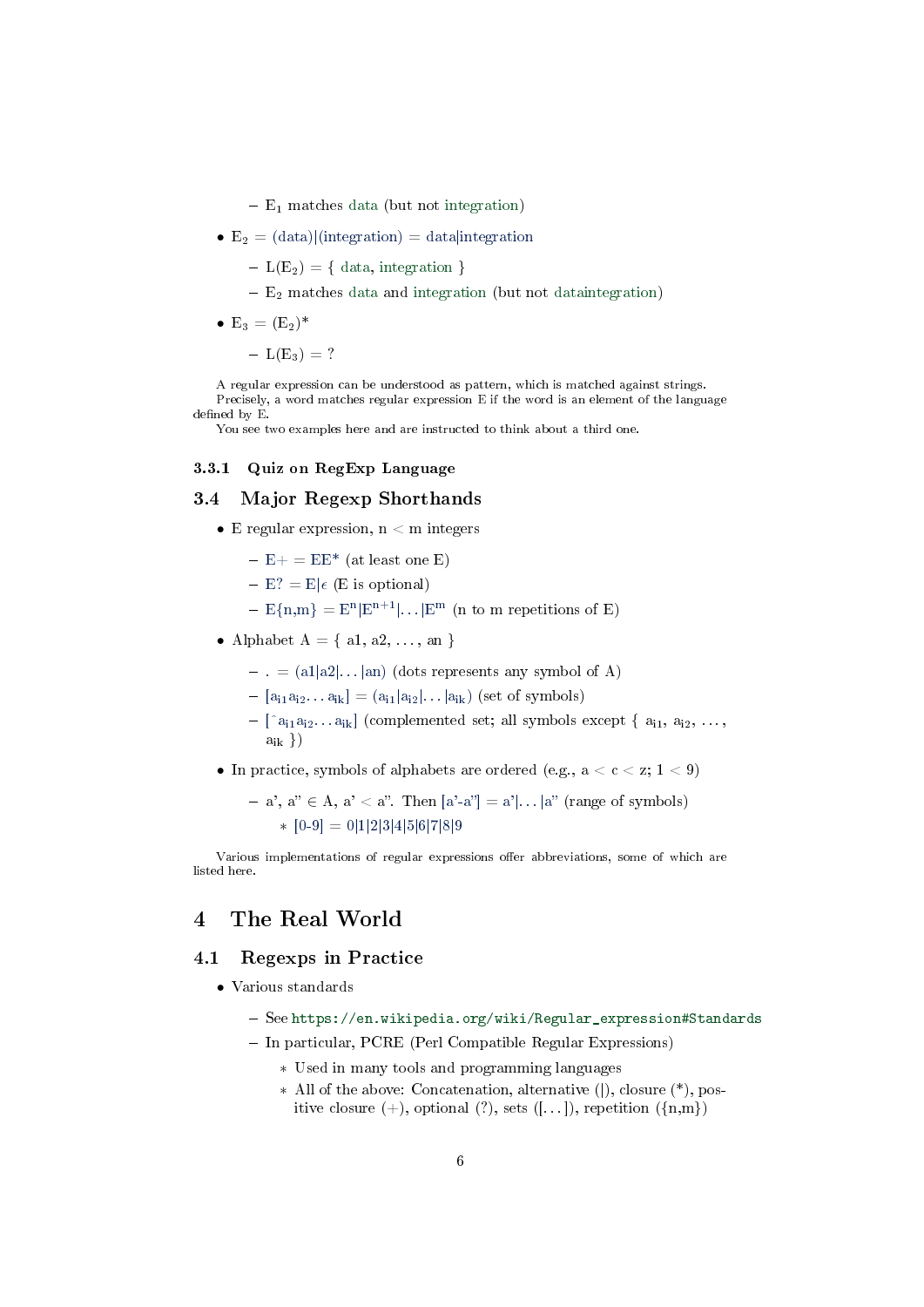- $-E_1$  matches data (but not integration)
- $E_2 = (data)|(integration) = data|integration$ 
	- $-L(E_2) = \{ data, integration \}$
	- $-$  E<sub>2</sub> matches data and integration (but not dataintegration)
- $E_3 = (E_2)^*$  $-L(E_3) = ?$

A regular expression can be understood as pattern, which is matched against strings. Precisely, a word matches regular expression E if the word is an element of the language defined by E.

You see two examples here and are instructed to think about a third one.

#### 3.3.1 Quiz on RegExp Language

# 3.4 Major Regexp Shorthands

- E regular expression,  $n < m$  integers
	- $E + E = EE^*$  (at least one E)
	- $-E$ ? = E| $\epsilon$  (E is optional)
	- $-E{n,m} = E^{n} |E^{n+1}|... |E^{m}$  (n to m repetitions of E)
- Alphabet  $A = \{ a1, a2, \ldots, an \}$ 
	- $-$  . = (a1|a2|...|an) (dots represents any symbol of A)
	- $[-[a_{i1}a_{i2}... a_{ik}] = (a_{i1}|a_{i2}|... |a_{ik})$  (set of symbols)
	- $[-\int a_{i1}a_{i2} \ldots a_{ik}]$  (complemented set; all symbols except  $\{a_{i1}, a_{i2}, \ldots, a_{ik}\}$  $a_{ik}$ }
- In practice, symbols of alphabets are ordered (e.g.,  $a < c < z$ ;  $1 < 9$ )

$$
- a', a'' \in A, a' < a''. \text{ Then } [a'-a''] = a'|\dots|a'' \text{ (range of symbols)}
$$
\n
$$
* [0-9] = 0|1|2|3|4|5|6|7|8|9
$$

Various implementations of regular expressions offer abbreviations, some of which are listed here.

# <span id="page-5-0"></span>4 The Real World

### 4.1 Regexps in Practice

- Various standards
	- See [https://en.wikipedia.org/wiki/Regular\\_expression#Standards](https://en.wikipedia.org/wiki/Regular_expression#Standards)
	- In particular, PCRE (Perl Compatible Regular Expressions)
		- ∗ Used in many tools and programming languages
		- ∗ All of the above: Concatenation, alternative (|), closure (\*), positive closure  $(+)$ , optional  $(?)$ , sets  $([-...)$ , repetition  $(\{n,m\})$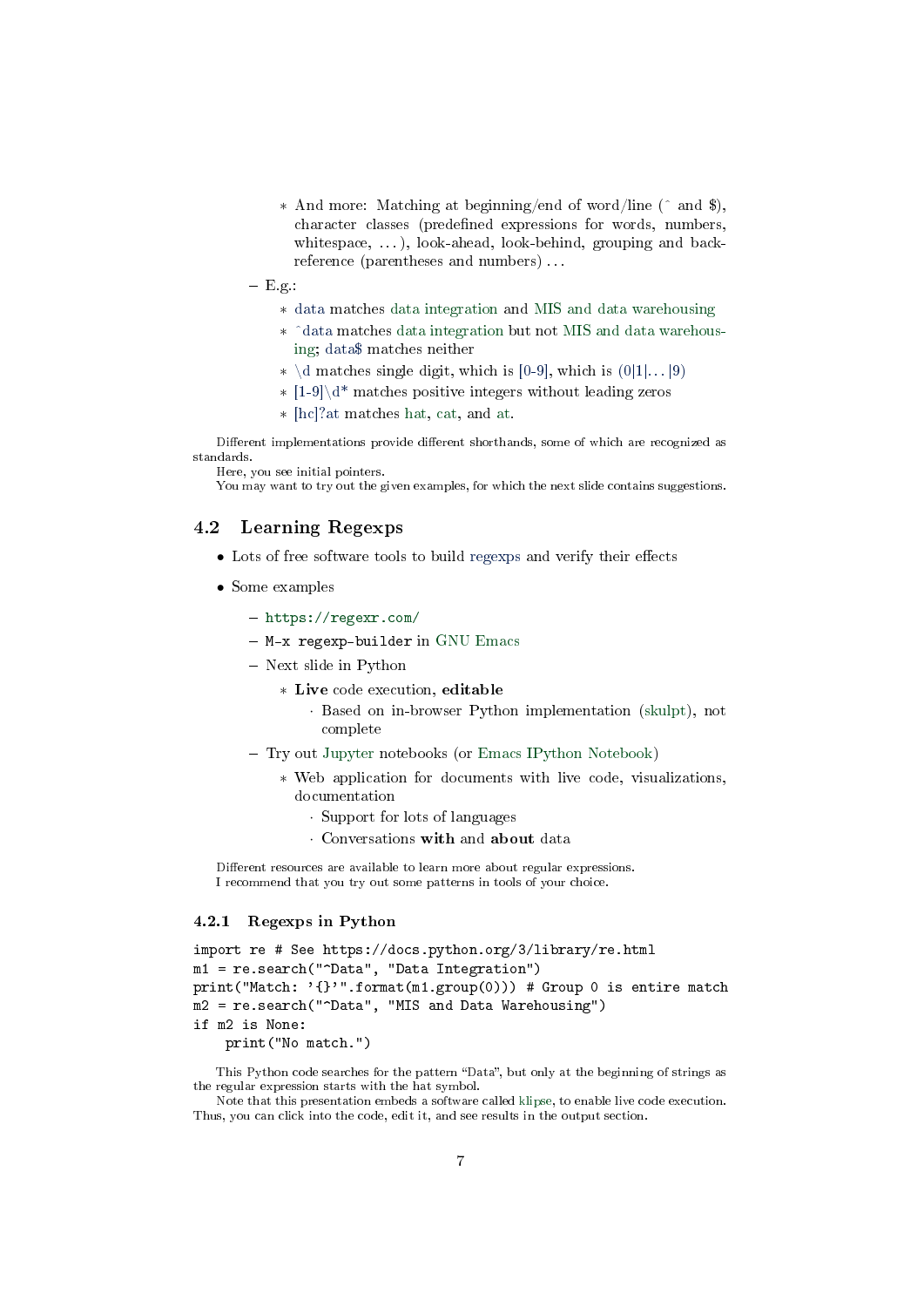- ∗ And more: Matching at beginning/end of word/line (^ and \$), character classes (predefined expressions for words, numbers, whitespace, ...), look-ahead, look-behind, grouping and backreference (parentheses and numbers) . . .
- $-$  E.g.:
	- ∗ data matches data integration and MIS and data warehousing
	- ∗ -data matches data integration but not MIS and data warehousing; data\$ matches neither
	- $\star \ \{d \text{ matches single digit, which is } [0-9]$ , which is  $(0|1|...|9)$
	- ∗ [1-9]\d\* matches positive integers without leading zeros
	- ∗ [hc]?at matches hat, cat, and at.

Different implementations provide different shorthands, some of which are recognized as standards. Here, you see initial pointers.

You may want to try out the given examples, for which the next slide contains suggestions.

#### 4.2 Learning Regexps

- $\bullet$  Lots of free software tools to build regexps and verify their effects
- Some examples
	- <https://regexr.com/>
	- $-$  M-x regexp-builder in [GNU Emacs](https://www.gnu.org/software/emacs/)
	- Next slide in Python
		- ∗ Live code execution, editable
			- · Based on in-browser Python implementation [\(skulpt\)](http://skulpt.org/), not complete
	- Try out [Jupyter](https://jupyter.org/) notebooks (or [Emacs IPython Notebook\)](https://github.com/millejoh/emacs-ipython-notebook)
		- ∗ Web application for documents with live code, visualizations, documentation
			- · Support for lots of languages
			- · Conversations with and about data

Different resources are available to learn more about regular expressions. I recommend that you try out some patterns in tools of your choice.

#### 4.2.1 Regexps in Python

```
import re # See https://docs.python.org/3/library/re.html
m1 = re.search("^Data", "Data Integration")
print("Match: '{}'".format(m1.group(0))) # Group 0 is entire match
m2 = re.search("^Data", "MIS and Data Warehousing")
if m2 is None:
    print("No match.")
```
This Python code searches for the pattern "Data", but only at the beginning of strings as the regular expression starts with the hat symbol.

Note that this presentation embeds a software called [klipse,](https://github.com/viebel/klipse) to enable live code execution. Thus, you can click into the code, edit it, and see results in the output section.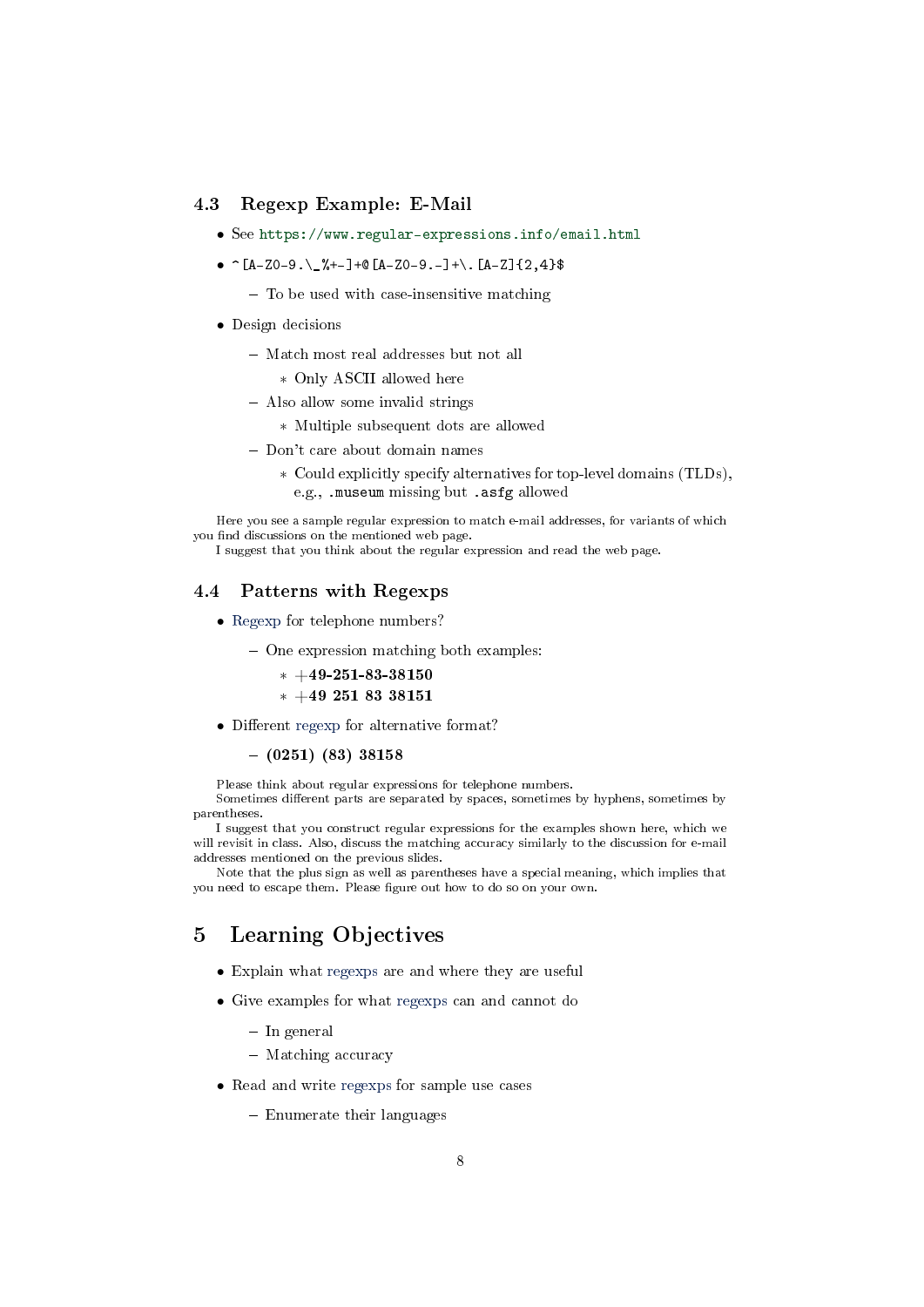### 4.3 Regexp Example: E-Mail

- See <https://www.regular-expressions.info/email.html>
- $\widehat{[A-Z0-9,\setminus\frac{9}{2}+-]}+\mathbb{Q}[A-Z0-9,-]+\\ \widehat{[A-Z]}{2,4}$ 
	- $-$  To be used with case-insensitive matching
- Design decisions
	- Match most real addresses but not all
		- ∗ Only ASCII allowed here
	- Also allow some invalid strings
		- ∗ Multiple subsequent dots are allowed
	- Don't care about domain names
		- ∗ Could explicitly specify alternatives for top-level domains (TLDs), e.g., .museum missing but .asfg allowed

Here you see a sample regular expression to match e-mail addresses, for variants of which you find discussions on the mentioned web page.

I suggest that you think about the regular expression and read the web page.

#### 4.4 Patterns with Regexps

- Regexp for telephone numbers?
	- One expression matching both examples:
		- $* +49-251-83-38150$
		- ∗ +49 251 83 38151
- Different regexp for alternative format?

#### $-$  (0251) (83) 38158

Please think about regular expressions for telephone numbers.

Sometimes different parts are separated by spaces, sometimes by hyphens, sometimes by parentheses.

I suggest that you construct regular expressions for the examples shown here, which we will revisit in class. Also, discuss the matching accuracy similarly to the discussion for e-mail addresses mentioned on the previous slides.

Note that the plus sign as well as parentheses have a special meaning, which implies that you need to escape them. Please figure out how to do so on your own.

# <span id="page-7-0"></span>5 Learning Objectives

- Explain what regexps are and where they are useful
- Give examples for what regexps can and cannot do
	- $-$  In general
	- Matching accuracy
- Read and write regexps for sample use cases
	- Enumerate their languages